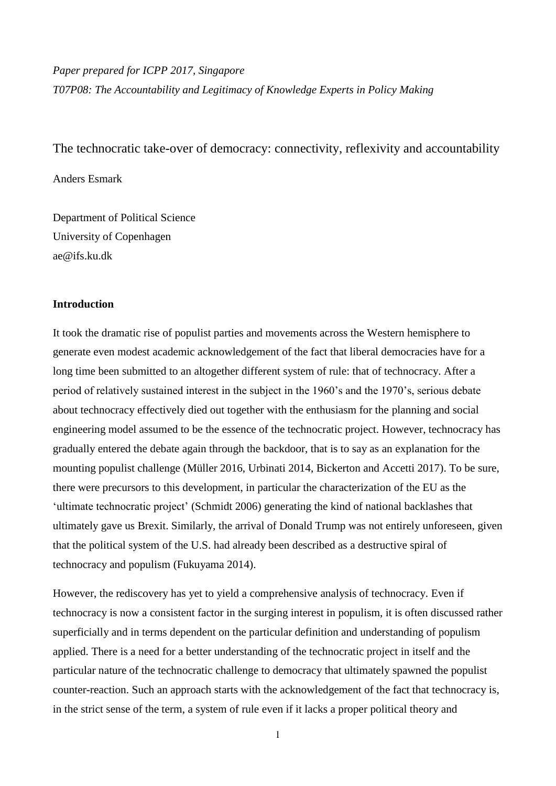*Paper prepared for ICPP 2017, Singapore T07P08: The Accountability and Legitimacy of Knowledge Experts in Policy Making*

The technocratic take-over of democracy: connectivity, reflexivity and accountability

Anders Esmark

Department of Political Science University of Copenhagen ae@ifs.ku.dk

# **Introduction**

It took the dramatic rise of populist parties and movements across the Western hemisphere to generate even modest academic acknowledgement of the fact that liberal democracies have for a long time been submitted to an altogether different system of rule: that of technocracy. After a period of relatively sustained interest in the subject in the 1960's and the 1970's, serious debate about technocracy effectively died out together with the enthusiasm for the planning and social engineering model assumed to be the essence of the technocratic project. However, technocracy has gradually entered the debate again through the backdoor, that is to say as an explanation for the mounting populist challenge (Müller 2016, Urbinati 2014, Bickerton and Accetti 2017). To be sure, there were precursors to this development, in particular the characterization of the EU as the 'ultimate technocratic project' (Schmidt 2006) generating the kind of national backlashes that ultimately gave us Brexit. Similarly, the arrival of Donald Trump was not entirely unforeseen, given that the political system of the U.S. had already been described as a destructive spiral of technocracy and populism (Fukuyama 2014).

However, the rediscovery has yet to yield a comprehensive analysis of technocracy. Even if technocracy is now a consistent factor in the surging interest in populism, it is often discussed rather superficially and in terms dependent on the particular definition and understanding of populism applied. There is a need for a better understanding of the technocratic project in itself and the particular nature of the technocratic challenge to democracy that ultimately spawned the populist counter-reaction. Such an approach starts with the acknowledgement of the fact that technocracy is, in the strict sense of the term, a system of rule even if it lacks a proper political theory and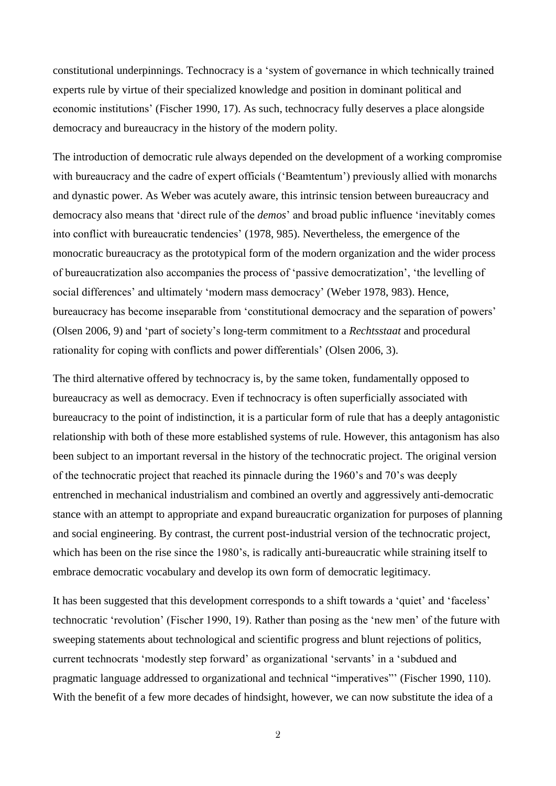constitutional underpinnings. Technocracy is a 'system of governance in which technically trained experts rule by virtue of their specialized knowledge and position in dominant political and economic institutions' (Fischer 1990, 17). As such, technocracy fully deserves a place alongside democracy and bureaucracy in the history of the modern polity.

The introduction of democratic rule always depended on the development of a working compromise with bureaucracy and the cadre of expert officials ('Beamtentum') previously allied with monarchs and dynastic power. As Weber was acutely aware, this intrinsic tension between bureaucracy and democracy also means that 'direct rule of the *demos*' and broad public influence 'inevitably comes into conflict with bureaucratic tendencies' (1978, 985). Nevertheless, the emergence of the monocratic bureaucracy as the prototypical form of the modern organization and the wider process of bureaucratization also accompanies the process of 'passive democratization', 'the levelling of social differences' and ultimately 'modern mass democracy' (Weber 1978, 983). Hence, bureaucracy has become inseparable from 'constitutional democracy and the separation of powers' (Olsen 2006, 9) and 'part of society's long-term commitment to a *Rechtsstaat* and procedural rationality for coping with conflicts and power differentials' (Olsen 2006, 3).

The third alternative offered by technocracy is, by the same token, fundamentally opposed to bureaucracy as well as democracy. Even if technocracy is often superficially associated with bureaucracy to the point of indistinction, it is a particular form of rule that has a deeply antagonistic relationship with both of these more established systems of rule. However, this antagonism has also been subject to an important reversal in the history of the technocratic project. The original version of the technocratic project that reached its pinnacle during the 1960's and 70's was deeply entrenched in mechanical industrialism and combined an overtly and aggressively anti-democratic stance with an attempt to appropriate and expand bureaucratic organization for purposes of planning and social engineering. By contrast, the current post-industrial version of the technocratic project, which has been on the rise since the 1980's, is radically anti-bureaucratic while straining itself to embrace democratic vocabulary and develop its own form of democratic legitimacy.

It has been suggested that this development corresponds to a shift towards a 'quiet' and 'faceless' technocratic 'revolution' (Fischer 1990, 19). Rather than posing as the 'new men' of the future with sweeping statements about technological and scientific progress and blunt rejections of politics, current technocrats 'modestly step forward' as organizational 'servants' in a 'subdued and pragmatic language addressed to organizational and technical "imperatives"' (Fischer 1990, 110). With the benefit of a few more decades of hindsight, however, we can now substitute the idea of a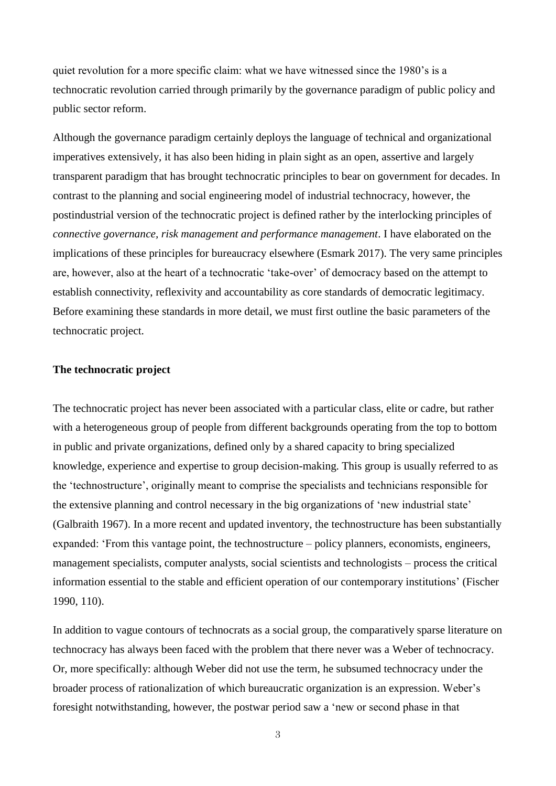quiet revolution for a more specific claim: what we have witnessed since the 1980's is a technocratic revolution carried through primarily by the governance paradigm of public policy and public sector reform.

Although the governance paradigm certainly deploys the language of technical and organizational imperatives extensively, it has also been hiding in plain sight as an open, assertive and largely transparent paradigm that has brought technocratic principles to bear on government for decades. In contrast to the planning and social engineering model of industrial technocracy, however, the postindustrial version of the technocratic project is defined rather by the interlocking principles of *connective governance, risk management and performance management*. I have elaborated on the implications of these principles for bureaucracy elsewhere (Esmark 2017). The very same principles are, however, also at the heart of a technocratic 'take-over' of democracy based on the attempt to establish connectivity, reflexivity and accountability as core standards of democratic legitimacy. Before examining these standards in more detail, we must first outline the basic parameters of the technocratic project.

### **The technocratic project**

The technocratic project has never been associated with a particular class, elite or cadre, but rather with a heterogeneous group of people from different backgrounds operating from the top to bottom in public and private organizations, defined only by a shared capacity to bring specialized knowledge, experience and expertise to group decision-making. This group is usually referred to as the 'technostructure', originally meant to comprise the specialists and technicians responsible for the extensive planning and control necessary in the big organizations of 'new industrial state' (Galbraith 1967). In a more recent and updated inventory, the technostructure has been substantially expanded: 'From this vantage point, the technostructure – policy planners, economists, engineers, management specialists, computer analysts, social scientists and technologists – process the critical information essential to the stable and efficient operation of our contemporary institutions' (Fischer 1990, 110).

In addition to vague contours of technocrats as a social group, the comparatively sparse literature on technocracy has always been faced with the problem that there never was a Weber of technocracy. Or, more specifically: although Weber did not use the term, he subsumed technocracy under the broader process of rationalization of which bureaucratic organization is an expression. Weber's foresight notwithstanding, however, the postwar period saw a 'new or second phase in that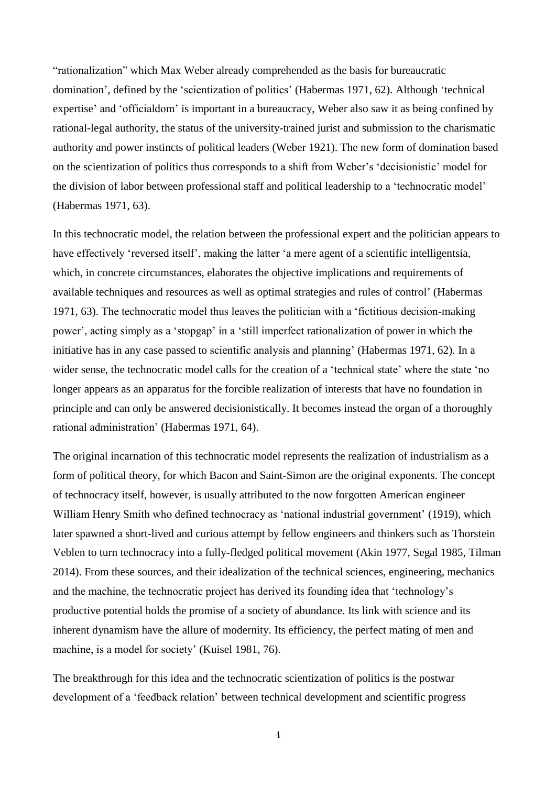"rationalization" which Max Weber already comprehended as the basis for bureaucratic domination', defined by the 'scientization of politics' (Habermas 1971, 62). Although 'technical expertise' and 'officialdom' is important in a bureaucracy, Weber also saw it as being confined by rational-legal authority, the status of the university-trained jurist and submission to the charismatic authority and power instincts of political leaders (Weber 1921). The new form of domination based on the scientization of politics thus corresponds to a shift from Weber's 'decisionistic' model for the division of labor between professional staff and political leadership to a 'technocratic model' (Habermas 1971, 63).

In this technocratic model, the relation between the professional expert and the politician appears to have effectively 'reversed itself', making the latter 'a mere agent of a scientific intelligentsia, which, in concrete circumstances, elaborates the objective implications and requirements of available techniques and resources as well as optimal strategies and rules of control' (Habermas 1971, 63). The technocratic model thus leaves the politician with a 'fictitious decision-making power', acting simply as a 'stopgap' in a 'still imperfect rationalization of power in which the initiative has in any case passed to scientific analysis and planning' (Habermas 1971, 62). In a wider sense, the technocratic model calls for the creation of a 'technical state' where the state 'no longer appears as an apparatus for the forcible realization of interests that have no foundation in principle and can only be answered decisionistically. It becomes instead the organ of a thoroughly rational administration' (Habermas 1971, 64).

The original incarnation of this technocratic model represents the realization of industrialism as a form of political theory, for which Bacon and Saint-Simon are the original exponents. The concept of technocracy itself, however, is usually attributed to the now forgotten American engineer William Henry Smith who defined technocracy as 'national industrial government' (1919), which later spawned a short-lived and curious attempt by fellow engineers and thinkers such as Thorstein Veblen to turn technocracy into a fully-fledged political movement (Akin 1977, Segal 1985, Tilman 2014). From these sources, and their idealization of the technical sciences, engineering, mechanics and the machine, the technocratic project has derived its founding idea that 'technology's productive potential holds the promise of a society of abundance. Its link with science and its inherent dynamism have the allure of modernity. Its efficiency, the perfect mating of men and machine, is a model for society' (Kuisel 1981, 76).

The breakthrough for this idea and the technocratic scientization of politics is the postwar development of a 'feedback relation' between technical development and scientific progress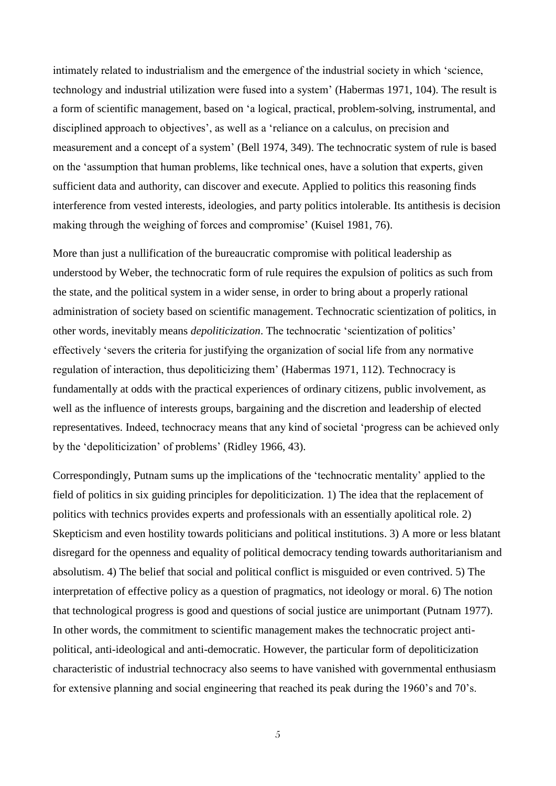intimately related to industrialism and the emergence of the industrial society in which 'science, technology and industrial utilization were fused into a system' (Habermas 1971, 104). The result is a form of scientific management, based on 'a logical, practical, problem-solving, instrumental, and disciplined approach to objectives', as well as a 'reliance on a calculus, on precision and measurement and a concept of a system' (Bell 1974, 349). The technocratic system of rule is based on the 'assumption that human problems, like technical ones, have a solution that experts, given sufficient data and authority, can discover and execute. Applied to politics this reasoning finds interference from vested interests, ideologies, and party politics intolerable. Its antithesis is decision making through the weighing of forces and compromise' (Kuisel 1981, 76).

More than just a nullification of the bureaucratic compromise with political leadership as understood by Weber, the technocratic form of rule requires the expulsion of politics as such from the state, and the political system in a wider sense, in order to bring about a properly rational administration of society based on scientific management. Technocratic scientization of politics, in other words, inevitably means *depoliticization*. The technocratic 'scientization of politics' effectively 'severs the criteria for justifying the organization of social life from any normative regulation of interaction, thus depoliticizing them' (Habermas 1971, 112). Technocracy is fundamentally at odds with the practical experiences of ordinary citizens, public involvement, as well as the influence of interests groups, bargaining and the discretion and leadership of elected representatives. Indeed, technocracy means that any kind of societal 'progress can be achieved only by the 'depoliticization' of problems' (Ridley 1966, 43).

Correspondingly, Putnam sums up the implications of the 'technocratic mentality' applied to the field of politics in six guiding principles for depoliticization. 1) The idea that the replacement of politics with technics provides experts and professionals with an essentially apolitical role. 2) Skepticism and even hostility towards politicians and political institutions. 3) A more or less blatant disregard for the openness and equality of political democracy tending towards authoritarianism and absolutism. 4) The belief that social and political conflict is misguided or even contrived. 5) The interpretation of effective policy as a question of pragmatics, not ideology or moral. 6) The notion that technological progress is good and questions of social justice are unimportant (Putnam 1977). In other words, the commitment to scientific management makes the technocratic project antipolitical, anti-ideological and anti-democratic. However, the particular form of depoliticization characteristic of industrial technocracy also seems to have vanished with governmental enthusiasm for extensive planning and social engineering that reached its peak during the 1960's and 70's.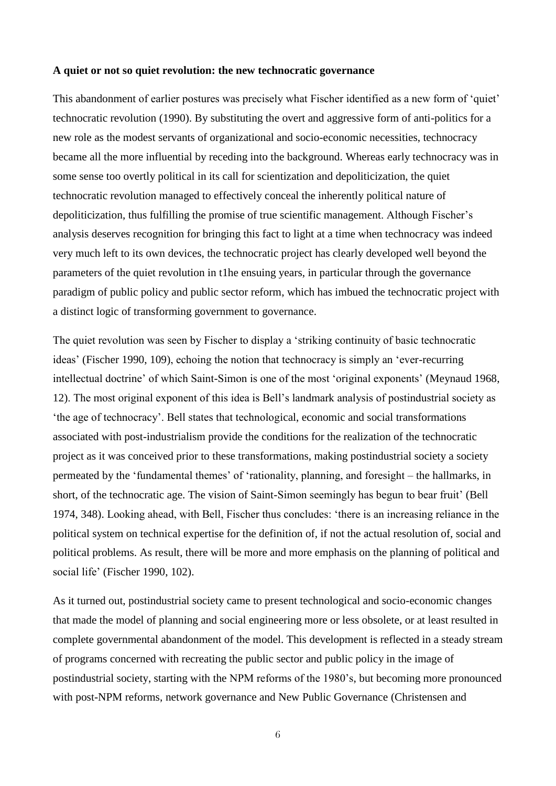### **A quiet or not so quiet revolution: the new technocratic governance**

This abandonment of earlier postures was precisely what Fischer identified as a new form of 'quiet' technocratic revolution (1990). By substituting the overt and aggressive form of anti-politics for a new role as the modest servants of organizational and socio-economic necessities, technocracy became all the more influential by receding into the background. Whereas early technocracy was in some sense too overtly political in its call for scientization and depoliticization, the quiet technocratic revolution managed to effectively conceal the inherently political nature of depoliticization, thus fulfilling the promise of true scientific management. Although Fischer's analysis deserves recognition for bringing this fact to light at a time when technocracy was indeed very much left to its own devices, the technocratic project has clearly developed well beyond the parameters of the quiet revolution in t1he ensuing years, in particular through the governance paradigm of public policy and public sector reform, which has imbued the technocratic project with a distinct logic of transforming government to governance.

The quiet revolution was seen by Fischer to display a 'striking continuity of basic technocratic ideas' (Fischer 1990, 109), echoing the notion that technocracy is simply an 'ever-recurring intellectual doctrine' of which Saint-Simon is one of the most 'original exponents' (Meynaud 1968, 12). The most original exponent of this idea is Bell's landmark analysis of postindustrial society as 'the age of technocracy'. Bell states that technological, economic and social transformations associated with post-industrialism provide the conditions for the realization of the technocratic project as it was conceived prior to these transformations, making postindustrial society a society permeated by the 'fundamental themes' of 'rationality, planning, and foresight – the hallmarks, in short, of the technocratic age. The vision of Saint-Simon seemingly has begun to bear fruit' (Bell 1974, 348). Looking ahead, with Bell, Fischer thus concludes: 'there is an increasing reliance in the political system on technical expertise for the definition of, if not the actual resolution of, social and political problems. As result, there will be more and more emphasis on the planning of political and social life' (Fischer 1990, 102).

As it turned out, postindustrial society came to present technological and socio-economic changes that made the model of planning and social engineering more or less obsolete, or at least resulted in complete governmental abandonment of the model. This development is reflected in a steady stream of programs concerned with recreating the public sector and public policy in the image of postindustrial society, starting with the NPM reforms of the 1980's, but becoming more pronounced with post-NPM reforms, network governance and New Public Governance (Christensen and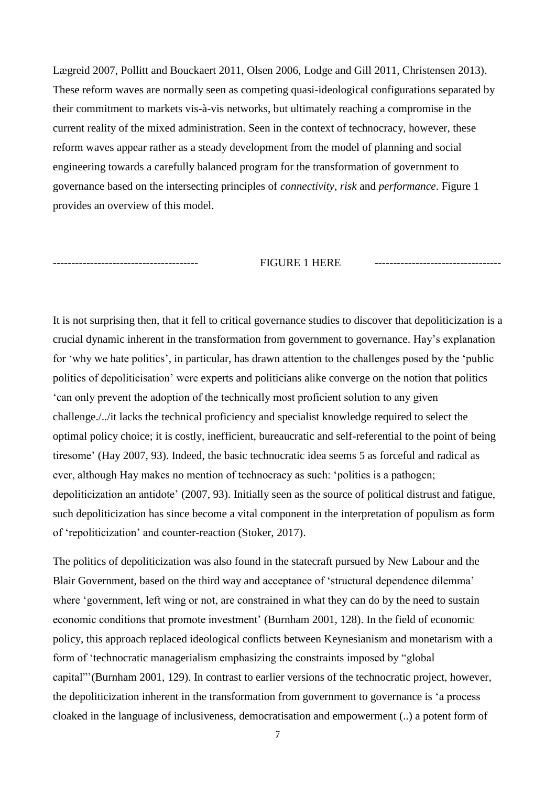Lægreid 2007, Pollitt and Bouckaert 2011, Olsen 2006, Lodge and Gill 2011, Christensen 2013). These reform waves are normally seen as competing quasi-ideological configurations separated by their commitment to markets vis-à-vis networks, but ultimately reaching a compromise in the current reality of the mixed administration. Seen in the context of technocracy, however, these reform waves appear rather as a steady development from the model of planning and social engineering towards a carefully balanced program for the transformation of government to governance based on the intersecting principles of *connectivity*, *risk* and *performance*. Figure 1 provides an overview of this model.

# --------------------------------------- FIGURE 1 HERE ----------------------------------

It is not surprising then, that it fell to critical governance studies to discover that depoliticization is a crucial dynamic inherent in the transformation from government to governance. Hay's explanation for 'why we hate politics', in particular, has drawn attention to the challenges posed by the 'public politics of depoliticisation' were experts and politicians alike converge on the notion that politics 'can only prevent the adoption of the technically most proficient solution to any given challenge./../it lacks the technical proficiency and specialist knowledge required to select the optimal policy choice; it is costly, inefficient, bureaucratic and self-referential to the point of being tiresome' (Hay 2007, 93). Indeed, the basic technocratic idea seems 5 as forceful and radical as ever, although Hay makes no mention of technocracy as such: 'politics is a pathogen; depoliticization an antidote' (2007, 93). Initially seen as the source of political distrust and fatigue, such depoliticization has since become a vital component in the interpretation of populism as form of 'repoliticization' and counter-reaction (Stoker, 2017).

The politics of depoliticization was also found in the statecraft pursued by New Labour and the Blair Government, based on the third way and acceptance of 'structural dependence dilemma' where 'government, left wing or not, are constrained in what they can do by the need to sustain economic conditions that promote investment' (Burnham 2001, 128). In the field of economic policy, this approach replaced ideological conflicts between Keynesianism and monetarism with a form of 'technocratic managerialism emphasizing the constraints imposed by "global capital"'(Burnham 2001, 129). In contrast to earlier versions of the technocratic project, however, the depoliticization inherent in the transformation from government to governance is 'a process cloaked in the language of inclusiveness, democratisation and empowerment (..) a potent form of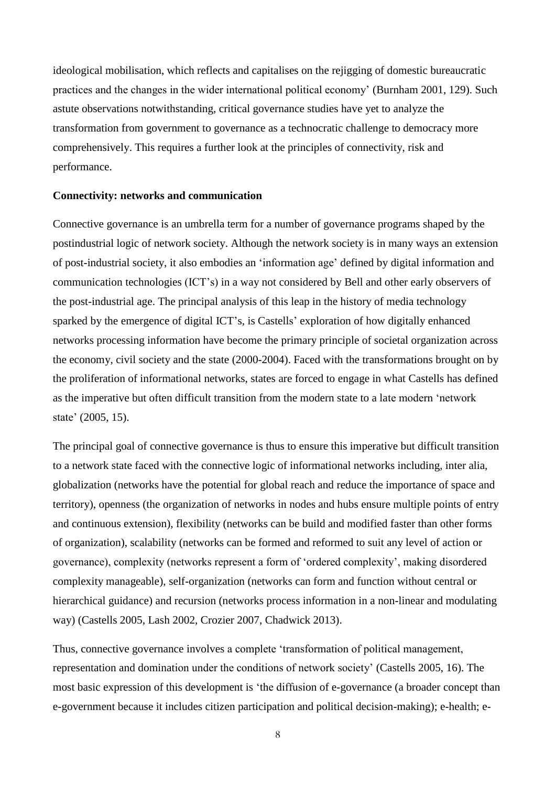ideological mobilisation, which reflects and capitalises on the rejigging of domestic bureaucratic practices and the changes in the wider international political economy' (Burnham 2001, 129). Such astute observations notwithstanding, critical governance studies have yet to analyze the transformation from government to governance as a technocratic challenge to democracy more comprehensively. This requires a further look at the principles of connectivity, risk and performance.

#### **Connectivity: networks and communication**

Connective governance is an umbrella term for a number of governance programs shaped by the postindustrial logic of network society. Although the network society is in many ways an extension of post-industrial society, it also embodies an 'information age' defined by digital information and communication technologies (ICT's) in a way not considered by Bell and other early observers of the post-industrial age. The principal analysis of this leap in the history of media technology sparked by the emergence of digital ICT's, is Castells' exploration of how digitally enhanced networks processing information have become the primary principle of societal organization across the economy, civil society and the state (2000-2004). Faced with the transformations brought on by the proliferation of informational networks, states are forced to engage in what Castells has defined as the imperative but often difficult transition from the modern state to a late modern 'network state' (2005, 15).

The principal goal of connective governance is thus to ensure this imperative but difficult transition to a network state faced with the connective logic of informational networks including, inter alia, globalization (networks have the potential for global reach and reduce the importance of space and territory), openness (the organization of networks in nodes and hubs ensure multiple points of entry and continuous extension), flexibility (networks can be build and modified faster than other forms of organization), scalability (networks can be formed and reformed to suit any level of action or governance), complexity (networks represent a form of 'ordered complexity', making disordered complexity manageable), self-organization (networks can form and function without central or hierarchical guidance) and recursion (networks process information in a non-linear and modulating way) (Castells 2005, Lash 2002, Crozier 2007, Chadwick 2013).

Thus, connective governance involves a complete 'transformation of political management, representation and domination under the conditions of network society' (Castells 2005, 16). The most basic expression of this development is 'the diffusion of e-governance (a broader concept than e-government because it includes citizen participation and political decision-making); e-health; e-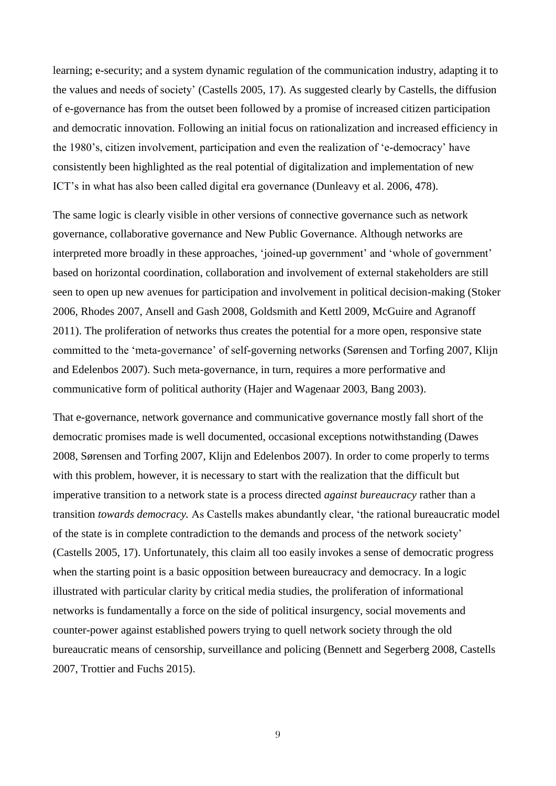learning; e-security; and a system dynamic regulation of the communication industry, adapting it to the values and needs of society' (Castells 2005, 17). As suggested clearly by Castells, the diffusion of e-governance has from the outset been followed by a promise of increased citizen participation and democratic innovation. Following an initial focus on rationalization and increased efficiency in the 1980's, citizen involvement, participation and even the realization of 'e-democracy' have consistently been highlighted as the real potential of digitalization and implementation of new ICT's in what has also been called digital era governance (Dunleavy et al. 2006, 478).

The same logic is clearly visible in other versions of connective governance such as network governance, collaborative governance and New Public Governance. Although networks are interpreted more broadly in these approaches, 'joined-up government' and 'whole of government' based on horizontal coordination, collaboration and involvement of external stakeholders are still seen to open up new avenues for participation and involvement in political decision-making (Stoker 2006, Rhodes 2007, Ansell and Gash 2008, Goldsmith and Kettl 2009, McGuire and Agranoff 2011). The proliferation of networks thus creates the potential for a more open, responsive state committed to the 'meta-governance' of self-governing networks (Sørensen and Torfing 2007, Klijn and Edelenbos 2007). Such meta-governance, in turn, requires a more performative and communicative form of political authority (Hajer and Wagenaar 2003, Bang 2003).

That e-governance, network governance and communicative governance mostly fall short of the democratic promises made is well documented, occasional exceptions notwithstanding (Dawes 2008, Sørensen and Torfing 2007, Klijn and Edelenbos 2007). In order to come properly to terms with this problem, however, it is necessary to start with the realization that the difficult but imperative transition to a network state is a process directed *against bureaucracy* rather than a transition *towards democracy.* As Castells makes abundantly clear, 'the rational bureaucratic model of the state is in complete contradiction to the demands and process of the network society' (Castells 2005, 17). Unfortunately, this claim all too easily invokes a sense of democratic progress when the starting point is a basic opposition between bureaucracy and democracy. In a logic illustrated with particular clarity by critical media studies, the proliferation of informational networks is fundamentally a force on the side of political insurgency, social movements and counter-power against established powers trying to quell network society through the old bureaucratic means of censorship, surveillance and policing (Bennett and Segerberg 2008, Castells 2007, Trottier and Fuchs 2015).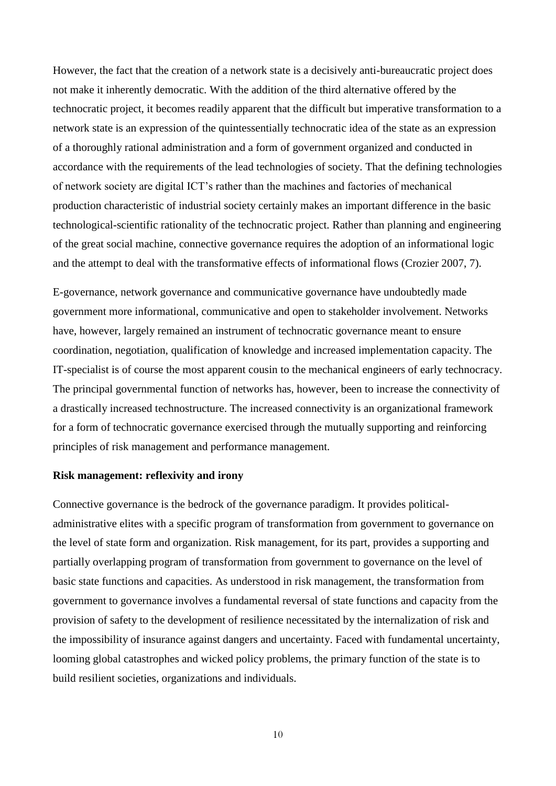However, the fact that the creation of a network state is a decisively anti-bureaucratic project does not make it inherently democratic. With the addition of the third alternative offered by the technocratic project, it becomes readily apparent that the difficult but imperative transformation to a network state is an expression of the quintessentially technocratic idea of the state as an expression of a thoroughly rational administration and a form of government organized and conducted in accordance with the requirements of the lead technologies of society. That the defining technologies of network society are digital ICT's rather than the machines and factories of mechanical production characteristic of industrial society certainly makes an important difference in the basic technological-scientific rationality of the technocratic project. Rather than planning and engineering of the great social machine, connective governance requires the adoption of an informational logic and the attempt to deal with the transformative effects of informational flows (Crozier 2007, 7).

E-governance, network governance and communicative governance have undoubtedly made government more informational, communicative and open to stakeholder involvement. Networks have, however, largely remained an instrument of technocratic governance meant to ensure coordination, negotiation, qualification of knowledge and increased implementation capacity. The IT-specialist is of course the most apparent cousin to the mechanical engineers of early technocracy. The principal governmental function of networks has, however, been to increase the connectivity of a drastically increased technostructure. The increased connectivity is an organizational framework for a form of technocratic governance exercised through the mutually supporting and reinforcing principles of risk management and performance management.

### **Risk management: reflexivity and irony**

Connective governance is the bedrock of the governance paradigm. It provides politicaladministrative elites with a specific program of transformation from government to governance on the level of state form and organization. Risk management, for its part, provides a supporting and partially overlapping program of transformation from government to governance on the level of basic state functions and capacities. As understood in risk management, the transformation from government to governance involves a fundamental reversal of state functions and capacity from the provision of safety to the development of resilience necessitated by the internalization of risk and the impossibility of insurance against dangers and uncertainty. Faced with fundamental uncertainty, looming global catastrophes and wicked policy problems, the primary function of the state is to build resilient societies, organizations and individuals.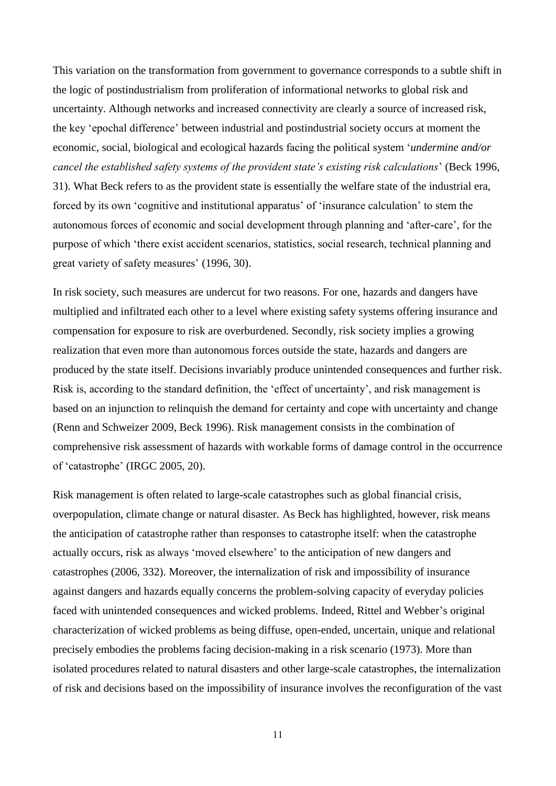This variation on the transformation from government to governance corresponds to a subtle shift in the logic of postindustrialism from proliferation of informational networks to global risk and uncertainty. Although networks and increased connectivity are clearly a source of increased risk, the key 'epochal difference' between industrial and postindustrial society occurs at moment the economic, social, biological and ecological hazards facing the political system '*undermine and/or cancel the established safety systems of the provident state's existing risk calculations*' (Beck 1996, 31). What Beck refers to as the provident state is essentially the welfare state of the industrial era, forced by its own 'cognitive and institutional apparatus' of 'insurance calculation' to stem the autonomous forces of economic and social development through planning and 'after-care', for the purpose of which 'there exist accident scenarios, statistics, social research, technical planning and great variety of safety measures' (1996, 30).

In risk society, such measures are undercut for two reasons. For one, hazards and dangers have multiplied and infiltrated each other to a level where existing safety systems offering insurance and compensation for exposure to risk are overburdened. Secondly, risk society implies a growing realization that even more than autonomous forces outside the state, hazards and dangers are produced by the state itself. Decisions invariably produce unintended consequences and further risk. Risk is, according to the standard definition, the 'effect of uncertainty', and risk management is based on an injunction to relinquish the demand for certainty and cope with uncertainty and change (Renn and Schweizer 2009, Beck 1996). Risk management consists in the combination of comprehensive risk assessment of hazards with workable forms of damage control in the occurrence of 'catastrophe' (IRGC 2005, 20).

Risk management is often related to large-scale catastrophes such as global financial crisis, overpopulation, climate change or natural disaster. As Beck has highlighted, however, risk means the anticipation of catastrophe rather than responses to catastrophe itself: when the catastrophe actually occurs, risk as always 'moved elsewhere' to the anticipation of new dangers and catastrophes (2006, 332). Moreover, the internalization of risk and impossibility of insurance against dangers and hazards equally concerns the problem-solving capacity of everyday policies faced with unintended consequences and wicked problems. Indeed, Rittel and Webber's original characterization of wicked problems as being diffuse, open-ended, uncertain, unique and relational precisely embodies the problems facing decision-making in a risk scenario (1973). More than isolated procedures related to natural disasters and other large-scale catastrophes, the internalization of risk and decisions based on the impossibility of insurance involves the reconfiguration of the vast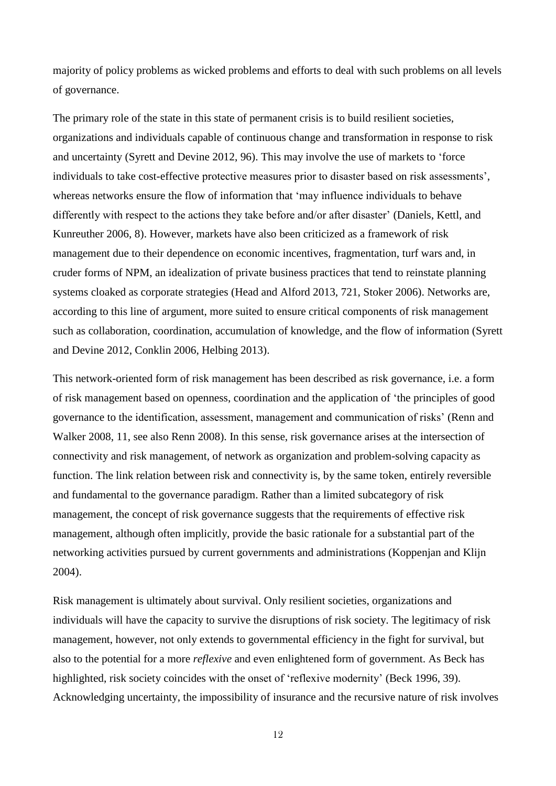majority of policy problems as wicked problems and efforts to deal with such problems on all levels of governance.

The primary role of the state in this state of permanent crisis is to build resilient societies, organizations and individuals capable of continuous change and transformation in response to risk and uncertainty (Syrett and Devine 2012, 96). This may involve the use of markets to 'force individuals to take cost-effective protective measures prior to disaster based on risk assessments', whereas networks ensure the flow of information that 'may influence individuals to behave differently with respect to the actions they take before and/or after disaster' (Daniels, Kettl, and Kunreuther 2006, 8). However, markets have also been criticized as a framework of risk management due to their dependence on economic incentives, fragmentation, turf wars and, in cruder forms of NPM, an idealization of private business practices that tend to reinstate planning systems cloaked as corporate strategies (Head and Alford 2013, 721, Stoker 2006). Networks are, according to this line of argument, more suited to ensure critical components of risk management such as collaboration, coordination, accumulation of knowledge, and the flow of information (Syrett and Devine 2012, Conklin 2006, Helbing 2013).

This network-oriented form of risk management has been described as risk governance, i.e. a form of risk management based on openness, coordination and the application of 'the principles of good governance to the identification, assessment, management and communication of risks' (Renn and Walker 2008, 11, see also Renn 2008). In this sense, risk governance arises at the intersection of connectivity and risk management, of network as organization and problem-solving capacity as function. The link relation between risk and connectivity is, by the same token, entirely reversible and fundamental to the governance paradigm. Rather than a limited subcategory of risk management, the concept of risk governance suggests that the requirements of effective risk management, although often implicitly, provide the basic rationale for a substantial part of the networking activities pursued by current governments and administrations (Koppenjan and Klijn 2004).

Risk management is ultimately about survival. Only resilient societies, organizations and individuals will have the capacity to survive the disruptions of risk society. The legitimacy of risk management, however, not only extends to governmental efficiency in the fight for survival, but also to the potential for a more *reflexive* and even enlightened form of government. As Beck has highlighted, risk society coincides with the onset of 'reflexive modernity' (Beck 1996, 39). Acknowledging uncertainty, the impossibility of insurance and the recursive nature of risk involves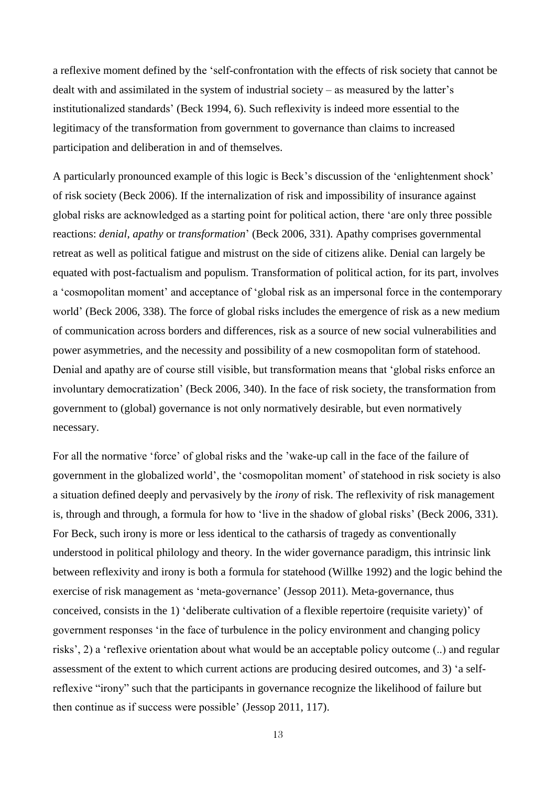a reflexive moment defined by the 'self-confrontation with the effects of risk society that cannot be dealt with and assimilated in the system of industrial society – as measured by the latter's institutionalized standards' (Beck 1994, 6). Such reflexivity is indeed more essential to the legitimacy of the transformation from government to governance than claims to increased participation and deliberation in and of themselves.

A particularly pronounced example of this logic is Beck's discussion of the 'enlightenment shock' of risk society (Beck 2006). If the internalization of risk and impossibility of insurance against global risks are acknowledged as a starting point for political action, there 'are only three possible reactions: *denial*, *apathy* or *transformation*' (Beck 2006, 331). Apathy comprises governmental retreat as well as political fatigue and mistrust on the side of citizens alike. Denial can largely be equated with post-factualism and populism. Transformation of political action, for its part, involves a 'cosmopolitan moment' and acceptance of 'global risk as an impersonal force in the contemporary world' (Beck 2006, 338). The force of global risks includes the emergence of risk as a new medium of communication across borders and differences, risk as a source of new social vulnerabilities and power asymmetries, and the necessity and possibility of a new cosmopolitan form of statehood. Denial and apathy are of course still visible, but transformation means that 'global risks enforce an involuntary democratization' (Beck 2006, 340). In the face of risk society, the transformation from government to (global) governance is not only normatively desirable, but even normatively necessary.

For all the normative 'force' of global risks and the 'wake-up call in the face of the failure of government in the globalized world', the 'cosmopolitan moment' of statehood in risk society is also a situation defined deeply and pervasively by the *irony* of risk. The reflexivity of risk management is, through and through, a formula for how to 'live in the shadow of global risks' (Beck 2006, 331). For Beck, such irony is more or less identical to the catharsis of tragedy as conventionally understood in political philology and theory. In the wider governance paradigm, this intrinsic link between reflexivity and irony is both a formula for statehood (Willke 1992) and the logic behind the exercise of risk management as 'meta-governance' (Jessop 2011). Meta-governance, thus conceived, consists in the 1) 'deliberate cultivation of a flexible repertoire (requisite variety)' of government responses 'in the face of turbulence in the policy environment and changing policy risks', 2) a 'reflexive orientation about what would be an acceptable policy outcome (..) and regular assessment of the extent to which current actions are producing desired outcomes, and 3) 'a selfreflexive "irony" such that the participants in governance recognize the likelihood of failure but then continue as if success were possible' (Jessop 2011, 117).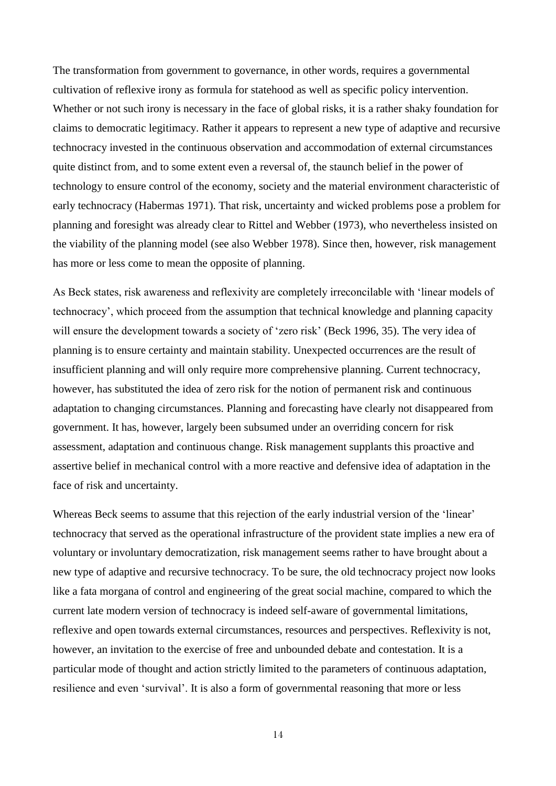The transformation from government to governance, in other words, requires a governmental cultivation of reflexive irony as formula for statehood as well as specific policy intervention. Whether or not such irony is necessary in the face of global risks, it is a rather shaky foundation for claims to democratic legitimacy. Rather it appears to represent a new type of adaptive and recursive technocracy invested in the continuous observation and accommodation of external circumstances quite distinct from, and to some extent even a reversal of, the staunch belief in the power of technology to ensure control of the economy, society and the material environment characteristic of early technocracy (Habermas 1971). That risk, uncertainty and wicked problems pose a problem for planning and foresight was already clear to Rittel and Webber (1973), who nevertheless insisted on the viability of the planning model (see also Webber 1978). Since then, however, risk management has more or less come to mean the opposite of planning.

As Beck states, risk awareness and reflexivity are completely irreconcilable with 'linear models of technocracy', which proceed from the assumption that technical knowledge and planning capacity will ensure the development towards a society of 'zero risk' (Beck 1996, 35). The very idea of planning is to ensure certainty and maintain stability. Unexpected occurrences are the result of insufficient planning and will only require more comprehensive planning. Current technocracy, however, has substituted the idea of zero risk for the notion of permanent risk and continuous adaptation to changing circumstances. Planning and forecasting have clearly not disappeared from government. It has, however, largely been subsumed under an overriding concern for risk assessment, adaptation and continuous change. Risk management supplants this proactive and assertive belief in mechanical control with a more reactive and defensive idea of adaptation in the face of risk and uncertainty.

Whereas Beck seems to assume that this rejection of the early industrial version of the 'linear' technocracy that served as the operational infrastructure of the provident state implies a new era of voluntary or involuntary democratization, risk management seems rather to have brought about a new type of adaptive and recursive technocracy. To be sure, the old technocracy project now looks like a fata morgana of control and engineering of the great social machine, compared to which the current late modern version of technocracy is indeed self-aware of governmental limitations, reflexive and open towards external circumstances, resources and perspectives. Reflexivity is not, however, an invitation to the exercise of free and unbounded debate and contestation. It is a particular mode of thought and action strictly limited to the parameters of continuous adaptation, resilience and even 'survival'. It is also a form of governmental reasoning that more or less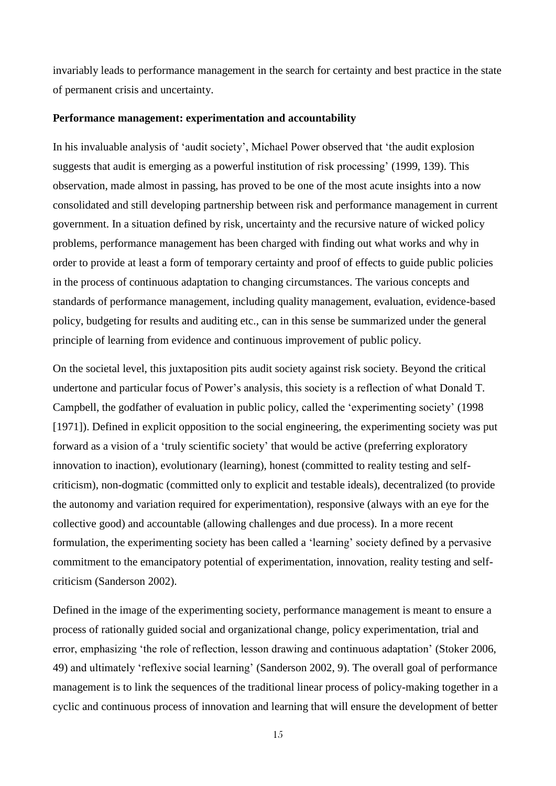invariably leads to performance management in the search for certainty and best practice in the state of permanent crisis and uncertainty.

#### **Performance management: experimentation and accountability**

In his invaluable analysis of 'audit society', Michael Power observed that 'the audit explosion suggests that audit is emerging as a powerful institution of risk processing' (1999, 139). This observation, made almost in passing, has proved to be one of the most acute insights into a now consolidated and still developing partnership between risk and performance management in current government. In a situation defined by risk, uncertainty and the recursive nature of wicked policy problems, performance management has been charged with finding out what works and why in order to provide at least a form of temporary certainty and proof of effects to guide public policies in the process of continuous adaptation to changing circumstances. The various concepts and standards of performance management, including quality management, evaluation, evidence-based policy, budgeting for results and auditing etc., can in this sense be summarized under the general principle of learning from evidence and continuous improvement of public policy.

On the societal level, this juxtaposition pits audit society against risk society. Beyond the critical undertone and particular focus of Power's analysis, this society is a reflection of what Donald T. Campbell, the godfather of evaluation in public policy, called the 'experimenting society' (1998 [1971]). Defined in explicit opposition to the social engineering, the experimenting society was put forward as a vision of a 'truly scientific society' that would be active (preferring exploratory innovation to inaction), evolutionary (learning), honest (committed to reality testing and selfcriticism), non-dogmatic (committed only to explicit and testable ideals), decentralized (to provide the autonomy and variation required for experimentation), responsive (always with an eye for the collective good) and accountable (allowing challenges and due process). In a more recent formulation, the experimenting society has been called a 'learning' society defined by a pervasive commitment to the emancipatory potential of experimentation, innovation, reality testing and selfcriticism (Sanderson 2002).

Defined in the image of the experimenting society, performance management is meant to ensure a process of rationally guided social and organizational change, policy experimentation, trial and error, emphasizing 'the role of reflection, lesson drawing and continuous adaptation' (Stoker 2006, 49) and ultimately 'reflexive social learning' (Sanderson 2002, 9). The overall goal of performance management is to link the sequences of the traditional linear process of policy-making together in a cyclic and continuous process of innovation and learning that will ensure the development of better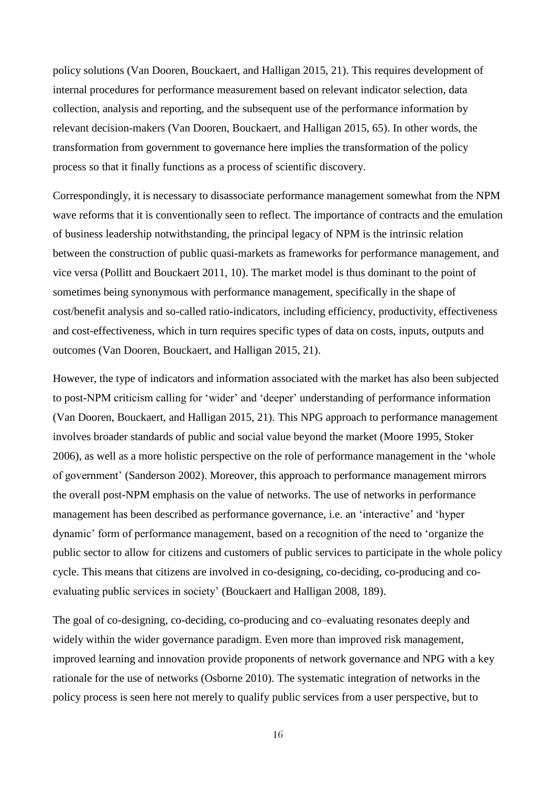policy solutions (Van Dooren, Bouckaert, and Halligan 2015, 21). This requires development of internal procedures for performance measurement based on relevant indicator selection, data collection, analysis and reporting, and the subsequent use of the performance information by relevant decision-makers (Van Dooren, Bouckaert, and Halligan 2015, 65). In other words, the transformation from government to governance here implies the transformation of the policy process so that it finally functions as a process of scientific discovery.

Correspondingly, it is necessary to disassociate performance management somewhat from the NPM wave reforms that it is conventionally seen to reflect. The importance of contracts and the emulation of business leadership notwithstanding, the principal legacy of NPM is the intrinsic relation between the construction of public quasi-markets as frameworks for performance management, and vice versa (Pollitt and Bouckaert 2011, 10). The market model is thus dominant to the point of sometimes being synonymous with performance management, specifically in the shape of cost/benefit analysis and so-called ratio-indicators, including efficiency, productivity, effectiveness and cost-effectiveness, which in turn requires specific types of data on costs, inputs, outputs and outcomes (Van Dooren, Bouckaert, and Halligan 2015, 21).

However, the type of indicators and information associated with the market has also been subjected to post-NPM criticism calling for 'wider' and 'deeper' understanding of performance information (Van Dooren, Bouckaert, and Halligan 2015, 21). This NPG approach to performance management involves broader standards of public and social value beyond the market (Moore 1995, Stoker 2006), as well as a more holistic perspective on the role of performance management in the 'whole of government' (Sanderson 2002). Moreover, this approach to performance management mirrors the overall post-NPM emphasis on the value of networks. The use of networks in performance management has been described as performance governance, i.e. an 'interactive' and 'hyper dynamic' form of performance management, based on a recognition of the need to 'organize the public sector to allow for citizens and customers of public services to participate in the whole policy cycle. This means that citizens are involved in co-designing, co-deciding, co-producing and coevaluating public services in society' (Bouckaert and Halligan 2008, 189).

The goal of co-designing, co-deciding, co-producing and co–evaluating resonates deeply and widely within the wider governance paradigm. Even more than improved risk management, improved learning and innovation provide proponents of network governance and NPG with a key rationale for the use of networks (Osborne 2010). The systematic integration of networks in the policy process is seen here not merely to qualify public services from a user perspective, but to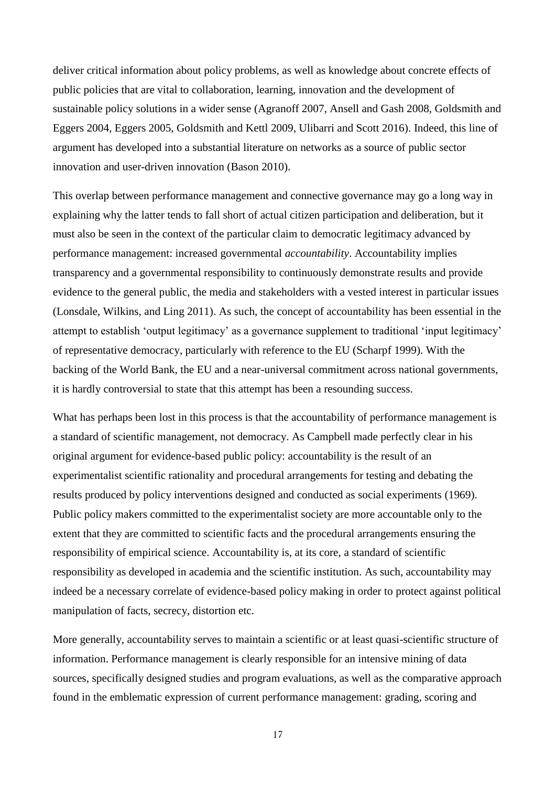deliver critical information about policy problems, as well as knowledge about concrete effects of public policies that are vital to collaboration, learning, innovation and the development of sustainable policy solutions in a wider sense (Agranoff 2007, Ansell and Gash 2008, Goldsmith and Eggers 2004, Eggers 2005, Goldsmith and Kettl 2009, Ulibarri and Scott 2016). Indeed, this line of argument has developed into a substantial literature on networks as a source of public sector innovation and user-driven innovation (Bason 2010).

This overlap between performance management and connective governance may go a long way in explaining why the latter tends to fall short of actual citizen participation and deliberation, but it must also be seen in the context of the particular claim to democratic legitimacy advanced by performance management: increased governmental *accountability*. Accountability implies transparency and a governmental responsibility to continuously demonstrate results and provide evidence to the general public, the media and stakeholders with a vested interest in particular issues (Lonsdale, Wilkins, and Ling 2011). As such, the concept of accountability has been essential in the attempt to establish 'output legitimacy' as a governance supplement to traditional 'input legitimacy' of representative democracy, particularly with reference to the EU (Scharpf 1999). With the backing of the World Bank, the EU and a near-universal commitment across national governments, it is hardly controversial to state that this attempt has been a resounding success.

What has perhaps been lost in this process is that the accountability of performance management is a standard of scientific management, not democracy. As Campbell made perfectly clear in his original argument for evidence-based public policy: accountability is the result of an experimentalist scientific rationality and procedural arrangements for testing and debating the results produced by policy interventions designed and conducted as social experiments (1969). Public policy makers committed to the experimentalist society are more accountable only to the extent that they are committed to scientific facts and the procedural arrangements ensuring the responsibility of empirical science. Accountability is, at its core, a standard of scientific responsibility as developed in academia and the scientific institution. As such, accountability may indeed be a necessary correlate of evidence-based policy making in order to protect against political manipulation of facts, secrecy, distortion etc.

More generally, accountability serves to maintain a scientific or at least quasi-scientific structure of information. Performance management is clearly responsible for an intensive mining of data sources, specifically designed studies and program evaluations, as well as the comparative approach found in the emblematic expression of current performance management: grading, scoring and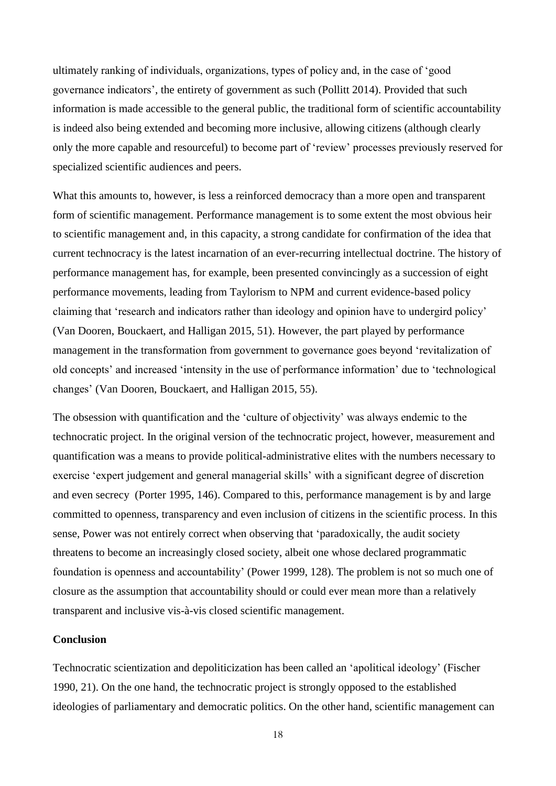ultimately ranking of individuals, organizations, types of policy and, in the case of 'good governance indicators', the entirety of government as such (Pollitt 2014). Provided that such information is made accessible to the general public, the traditional form of scientific accountability is indeed also being extended and becoming more inclusive, allowing citizens (although clearly only the more capable and resourceful) to become part of 'review' processes previously reserved for specialized scientific audiences and peers.

What this amounts to, however, is less a reinforced democracy than a more open and transparent form of scientific management. Performance management is to some extent the most obvious heir to scientific management and, in this capacity, a strong candidate for confirmation of the idea that current technocracy is the latest incarnation of an ever-recurring intellectual doctrine. The history of performance management has, for example, been presented convincingly as a succession of eight performance movements, leading from Taylorism to NPM and current evidence-based policy claiming that 'research and indicators rather than ideology and opinion have to undergird policy' (Van Dooren, Bouckaert, and Halligan 2015, 51). However, the part played by performance management in the transformation from government to governance goes beyond 'revitalization of old concepts' and increased 'intensity in the use of performance information' due to 'technological changes' (Van Dooren, Bouckaert, and Halligan 2015, 55).

The obsession with quantification and the 'culture of objectivity' was always endemic to the technocratic project. In the original version of the technocratic project, however, measurement and quantification was a means to provide political-administrative elites with the numbers necessary to exercise 'expert judgement and general managerial skills' with a significant degree of discretion and even secrecy (Porter 1995, 146). Compared to this, performance management is by and large committed to openness, transparency and even inclusion of citizens in the scientific process. In this sense, Power was not entirely correct when observing that 'paradoxically, the audit society threatens to become an increasingly closed society, albeit one whose declared programmatic foundation is openness and accountability' (Power 1999, 128). The problem is not so much one of closure as the assumption that accountability should or could ever mean more than a relatively transparent and inclusive vis-à-vis closed scientific management.

# **Conclusion**

Technocratic scientization and depoliticization has been called an 'apolitical ideology' (Fischer 1990, 21). On the one hand, the technocratic project is strongly opposed to the established ideologies of parliamentary and democratic politics. On the other hand, scientific management can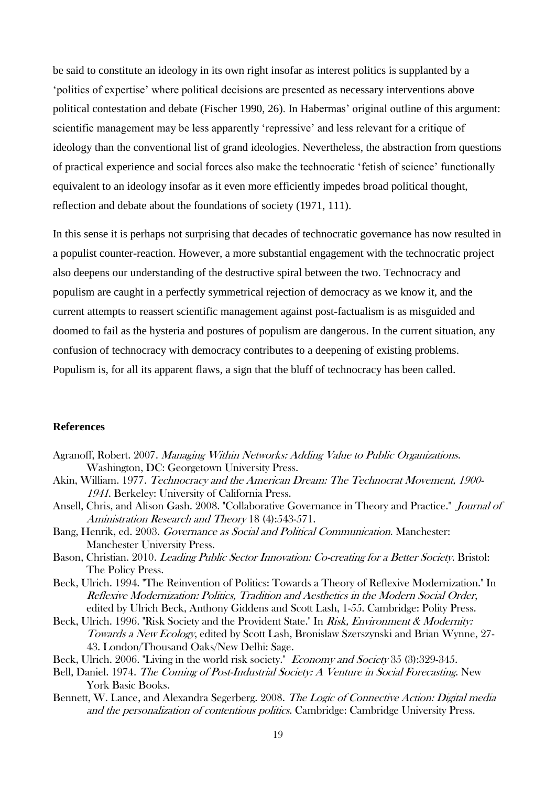be said to constitute an ideology in its own right insofar as interest politics is supplanted by a 'politics of expertise' where political decisions are presented as necessary interventions above political contestation and debate (Fischer 1990, 26). In Habermas' original outline of this argument: scientific management may be less apparently 'repressive' and less relevant for a critique of ideology than the conventional list of grand ideologies. Nevertheless, the abstraction from questions of practical experience and social forces also make the technocratic 'fetish of science' functionally equivalent to an ideology insofar as it even more efficiently impedes broad political thought, reflection and debate about the foundations of society (1971, 111).

In this sense it is perhaps not surprising that decades of technocratic governance has now resulted in a populist counter-reaction. However, a more substantial engagement with the technocratic project also deepens our understanding of the destructive spiral between the two. Technocracy and populism are caught in a perfectly symmetrical rejection of democracy as we know it, and the current attempts to reassert scientific management against post-factualism is as misguided and doomed to fail as the hysteria and postures of populism are dangerous. In the current situation, any confusion of technocracy with democracy contributes to a deepening of existing problems. Populism is, for all its apparent flaws, a sign that the bluff of technocracy has been called.

# **References**

- Agranoff, Robert. 2007. Managing Within Networks: Adding Value to Public Organizations. Washington, DC: Georgetown University Press.
- Akin, William. 1977. Technocracy and the American Dream: The Technocrat Movement, 1900- <sup>1941</sup>. Berkeley: University of California Press.
- Ansell, Chris, and Alison Gash. 2008. "Collaborative Governance in Theory and Practice." Journal of Aministration Research and Theory 18 (4):543-571.
- Bang, Henrik, ed. 2003. Governance as Social and Political Communication. Manchester: Manchester University Press.
- Bason, Christian. 2010. Leading Public Sector Innovation: Co-creating for a Better Society. Bristol: The Policy Press.
- Beck, Ulrich. 1994. "The Reinvention of Politics: Towards a Theory of Reflexive Modernization." In Reflexive Modernization: Politics, Tradition and Aesthetics in the Modern Social Order, edited by Ulrich Beck, Anthony Giddens and Scott Lash, 1-55. Cambridge: Polity Press.
- Beck, Ulrich. 1996. "Risk Society and the Provident State." In Risk, Environment & Modernity: Towards a New Ecology, edited by Scott Lash, Bronislaw Szerszynski and Brian Wynne, 27- 43. London/Thousand Oaks/New Delhi: Sage.
- Beck, Ulrich. 2006. "Living in the world risk society." Economy and Society 35 (3):329-345.
- Bell, Daniel. 1974. The Coming of Post-Industrial Society: A Venture in Social Forecasting. New York Basic Books.
- Bennett, W. Lance, and Alexandra Segerberg. 2008. The Logic of Connective Action: Digital media and the personalization of contentious politics. Cambridge: Cambridge University Press.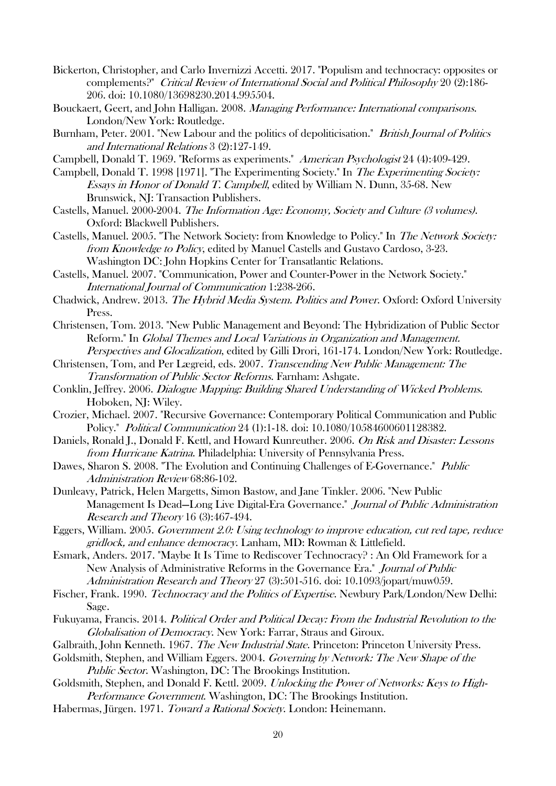- Bickerton, Christopher, and Carlo Invernizzi Accetti. 2017. "Populism and technocracy: opposites or complements?" Critical Review of International Social and Political Philosophy 20 (2):186- 206. doi: 10.1080/13698230.2014.995504.
- Bouckaert, Geert, and John Halligan. 2008. Managing Performance: International comparisons. London/New York: Routledge.
- Burnham, Peter. 2001. "New Labour and the politics of depoliticisation." *British Journal of Politics* and International Relations 3 (2):127-149.
- Campbell, Donald T. 1969. "Reforms as experiments." American Psychologist 24 (4):409-429.
- Campbell, Donald T. 1998 [1971]. "The Experimenting Society." In The Experimenting Society: Essays in Honor of Donald T. Campbell, edited by William N. Dunn, 35-68. New Brunswick, NJ: Transaction Publishers.
- Castells, Manuel. 2000-2004. The Information Age: Economy, Society and Culture (3 volumes). Oxford: Blackwell Publishers.
- Castells, Manuel. 2005. "The Network Society: from Knowledge to Policy." In The Network Society: from Knowledge to Policy, edited by Manuel Castells and Gustavo Cardoso, 3-23. Washington DC: John Hopkins Center for Transatlantic Relations.
- Castells, Manuel. 2007. "Communication, Power and Counter-Power in the Network Society." International Journal of Communication 1:238-266.
- Chadwick, Andrew. 2013. The Hybrid Media System. Politics and Power. Oxford: Oxford University Press.
- Christensen, Tom. 2013. "New Public Management and Beyond: The Hybridization of Public Sector Reform." In Global Themes and Local Variations in Organization and Management. Perspectives and Glocalization, edited by Gilli Drori, 161-174. London/New York: Routledge.
- Christensen, Tom, and Per Lægreid, eds. 2007. Transcending New Public Management: The Transformation of Public Sector Reforms. Farnham: Ashgate.
- Conklin, Jeffrey. 2006. Dialogue Mapping: Building Shared Understanding of Wicked Problems. Hoboken, NJ: Wiley.
- Crozier, Michael. 2007. "Recursive Governance: Contemporary Political Communication and Public Policy." Political Communication 24 (1):1-18. doi: 10.1080/10584600601128382.
- Daniels, Ronald J., Donald F. Kettl, and Howard Kunreuther. 2006. On Risk and Disaster: Lessons from Hurricane Katrina. Philadelphia: University of Pennsylvania Press.
- Dawes, Sharon S. 2008. "The Evolution and Continuing Challenges of E-Governance." Public Administration Review 68:86-102.
- Dunleavy, Patrick, Helen Margetts, Simon Bastow, and Jane Tinkler. 2006. "New Public Management Is Dead—Long Live Digital-Era Governance." Journal of Public Administration Research and Theory 16 (3):467-494.
- Eggers, William. 2005. Government 2.0: Using technology to improve education, cut red tape, reduce gridlock, and enhance democracy. Lanham, MD: Rowman & Littlefield.
- Esmark, Anders. 2017. "Maybe It Is Time to Rediscover Technocracy? : An Old Framework for a New Analysis of Administrative Reforms in the Governance Era." Journal of Public Administration Research and Theory 27 (3):501-516. doi: 10.1093/jopart/muw059.
- Fischer, Frank. 1990. *Technocracy and the Politics of Expertise*. Newbury Park/London/New Delhi: Sage.
- Fukuyama, Francis. 2014. Political Order and Political Decay: From the Industrial Revolution to the Globalisation of Democracy. New York: Farrar, Straus and Giroux.
- Galbraith, John Kenneth. 1967. The New Industrial State. Princeton: Princeton University Press.
- Goldsmith, Stephen, and William Eggers. 2004. Governing by Network: The New Shape of the Public Sector. Washington, DC: The Brookings Institution.
- Goldsmith, Stephen, and Donald F. Kettl. 2009. Unlocking the Power of Networks: Keys to High-Performance Government. Washington, DC: The Brookings Institution.
- Habermas, Jürgen. 1971. Toward a Rational Society. London: Heinemann.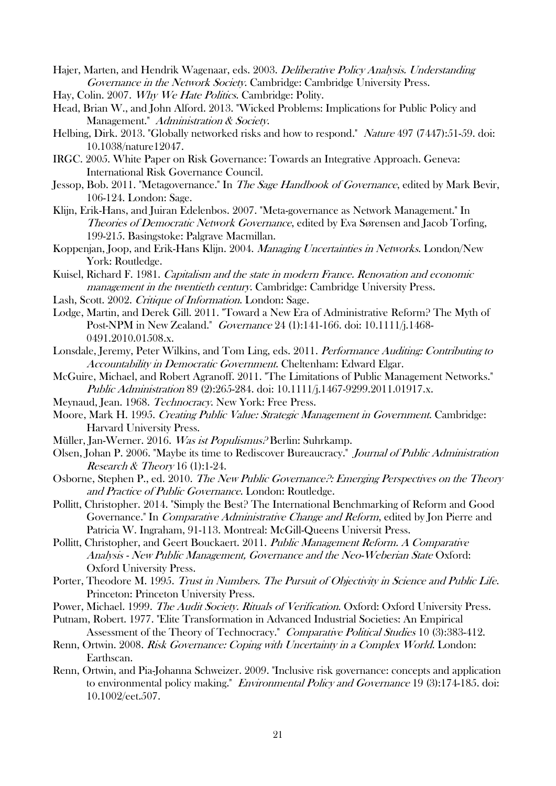- Hajer, Marten, and Hendrik Wagenaar, eds. 2003. Deliberative Policy Analysis. Understanding Governance in the Network Society. Cambridge: Cambridge University Press.
- Hay, Colin. 2007. Why We Hate Politics. Cambridge: Polity.
- Head, Brian W., and John Alford. 2013. "Wicked Problems: Implications for Public Policy and Management." Administration & Society.
- Helbing, Dirk. 2013. "Globally networked risks and how to respond." Nature 497 (7447):51-59. doi: 10.1038/nature12047.
- IRGC. 2005. White Paper on Risk Governance: Towards an Integrative Approach. Geneva: International Risk Governance Council.
- Jessop, Bob. 2011. "Metagovernance." In The Sage Handbook of Governance, edited by Mark Bevir, 106-124. London: Sage.
- Klijn, Erik-Hans, and Juiran Edelenbos. 2007. "Meta-governance as Network Management." In Theories of Democratic Network Governance, edited by Eva Sørensen and Jacob Torfing, 199-215. Basingstoke: Palgrave Macmillan.
- Koppenjan, Joop, and Erik-Hans Klijn. 2004. Managing Uncertainties in Networks. London/New York: Routledge.
- Kuisel, Richard F. 1981. Capitalism and the state in modern France. Renovation and economic management in the twentieth century. Cambridge: Cambridge University Press.
- Lash, Scott. 2002. Critique of Information. London: Sage.
- Lodge, Martin, and Derek Gill. 2011. "Toward a New Era of Administrative Reform? The Myth of Post-NPM in New Zealand." Governance 24 (1):141-166. doi: 10.1111/j.1468- 0491.2010.01508.x.
- Lonsdale, Jeremy, Peter Wilkins, and Tom Ling, eds. 2011. Performance Auditing: Contributing to Accountability in Democratic Government. Cheltenham: Edward Elgar.
- McGuire, Michael, and Robert Agranoff. 2011. "The Limitations of Public Management Networks." Public Administration 89 (2):265-284. doi: 10.1111/j.1467-9299.2011.01917.x.
- Meynaud, Jean. 1968. Technocracy. New York: Free Press.
- Moore, Mark H. 1995. Creating Public Value: Strategic Management in Government. Cambridge: Harvard University Press.
- Müller, Jan-Werner. 2016. Was ist Populismus? Berlin: Suhrkamp.
- Olsen, Johan P. 2006. "Maybe its time to Rediscover Bureaucracy." Journal of Public Administration Research & Theory 16 (1):1-24.
- Osborne, Stephen P., ed. 2010. The New Public Governance?: Emerging Perspectives on the Theory and Practice of Public Governance. London: Routledge.
- Pollitt, Christopher. 2014. "Simply the Best? The International Benchmarking of Reform and Good Governance." In Comparative Administrative Change and Reform, edited by Jon Pierre and Patricia W. Ingraham, 91-113. Montreal: McGill-Queens Universit Press.
- Pollitt, Christopher, and Geert Bouckaert. 2011. Public Management Reform. A Comparative Analysis - New Public Management, Governance and the Neo-Weberian State Oxford: Oxford University Press.
- Porter, Theodore M. 1995. Trust in Numbers. The Pursuit of Objectivity in Science and Public Life. Princeton: Princeton University Press.
- Power, Michael. 1999. The Audit Society. Rituals of Verification. Oxford: Oxford University Press.
- Putnam, Robert. 1977. "Elite Transformation in Advanced Industrial Societies: An Empirical Assessment of the Theory of Technocracy." Comparative Political Studies 10 (3):383-412.
- Renn, Ortwin. 2008. Risk Governance: Coping with Uncertainty in a Complex World. London: Earthscan.
- Renn, Ortwin, and Pia-Johanna Schweizer. 2009. "Inclusive risk governance: concepts and application to environmental policy making." *Environmental Policy and Governance* 19 (3):174-185. doi: 10.1002/eet.507.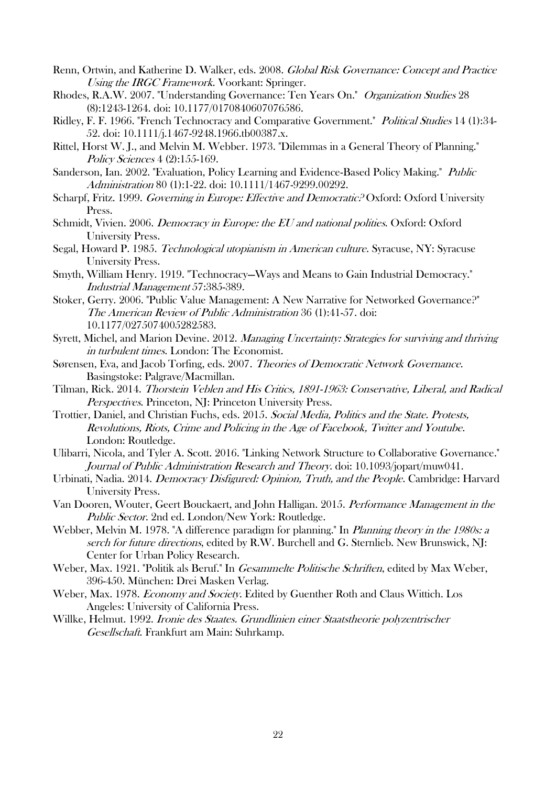- Renn, Ortwin, and Katherine D. Walker, eds. 2008. Global Risk Governance: Concept and Practice Using the **IRGC** Framework. Voorkant: Springer.
- Rhodes, R.A.W. 2007. "Understanding Governance: Ten Years On." Organization Studies 28 (8):1243-1264. doi: 10.1177/0170840607076586.
- Ridley, F. F. 1966. "French Technocracy and Comparative Government." Political Studies 14 (1):34- 52. doi: 10.1111/j.1467-9248.1966.tb00387.x.
- Rittel, Horst W. J., and Melvin M. Webber. 1973. "Dilemmas in a General Theory of Planning." Policy Sciences 4 (2):155-169.
- Sanderson, Ian. 2002. "Evaluation, Policy Learning and Evidence-Based Policy Making." Public Administration 80 (1):1-22. doi: 10.1111/1467-9299.00292.
- Scharpf, Fritz. 1999. Governing in Europe: Effective and Democratic? Oxford: Oxford University Press.
- Schmidt, Vivien. 2006. Democracy in Europe: the EU and national polities. Oxford: Oxford University Press.
- Segal, Howard P. 1985. Technological utopianism in American culture. Syracuse, NY: Syracuse University Press.
- Smyth, William Henry. 1919. "Technocracy—Ways and Means to Gain Industrial Democracy." Industrial Management 57:385-389.
- Stoker, Gerry. 2006. "Public Value Management: A New Narrative for Networked Governance?" The American Review of Public Administration 36 (1):41-57. doi: 10.1177/0275074005282583.
- Syrett, Michel, and Marion Devine. 2012. Managing Uncertainty: Strategies for surviving and thriving in turbulent times. London: The Economist.
- Sørensen, Eva, and Jacob Torfing, eds. 2007. Theories of Democratic Network Governance. Basingstoke: Palgrave/Macmillan.
- Tilman, Rick. 2014. Thorstein Veblen and His Critics, 1891-1963: Conservative, Liberal, and Radical Perspectives. Princeton, NJ: Princeton University Press.
- Trottier, Daniel, and Christian Fuchs, eds. 2015. Social Media, Politics and the State. Protests, Revolutions, Riots, Crime and Policing in the Age of Facebook, Twitter and Youtube. London: Routledge.
- Ulibarri, Nicola, and Tyler A. Scott. 2016. "Linking Network Structure to Collaborative Governance." Journal of Public Administration Research and Theory. doi: 10.1093/jopart/muw041.
- Urbinati, Nadia. 2014. Democracy Disfigured: Opinion, Truth, and the People. Cambridge: Harvard University Press.
- Van Dooren, Wouter, Geert Bouckaert, and John Halligan. 2015. Performance Management in the Public Sector. 2nd ed. London/New York: Routledge.
- Webber, Melvin M. 1978. "A difference paradigm for planning." In Planning theory in the 1980s: a serch for future directions, edited by R.W. Burchell and G. Sternlieb. New Brunswick, NJ: Center for Urban Policy Research.
- Weber, Max. 1921. "Politik als Beruf." In *Gesammelte Politische Schriften*, edited by Max Weber, 396-450. München: Drei Masken Verlag.
- Weber, Max. 1978. Economy and Society. Edited by Guenther Roth and Claus Wittich. Los Angeles: University of California Press.
- Willke, Helmut. 1992. Ironie des Staates. Grundlinien einer Staatstheorie polyzentrischer Gesellschaft. Frankfurt am Main: Suhrkamp.